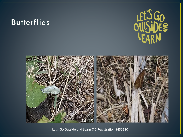## **Butterflies**





Let's Go Outside and Learn CIC Registration 9435120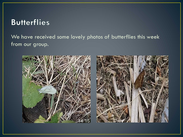## **Butterflies**

We have received some lovely photos of butterflies this week from our group.



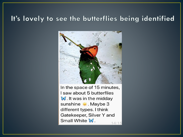#### It's lovely to see the butterflies being identified



In the space of 15 minutes, I saw about 5 butterflies  $\mathbb W$ . It was in the midday sunshine Maybe 3 different types. I think Gatekeeper, Silver Y and Small White  $\mathbb W$ .  $14:15$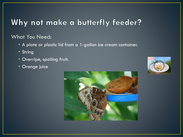# Why not make a butterfly feeder?

#### What You Need:

- A plate or plastic lid from a 1-gallon ice cream container.
- String
- Overripe, spoiling fruit.
- Orange juice



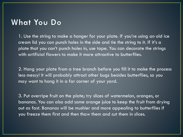#### **What You Do**

1. Use the string to make a hanger for your plate. If you're using an old ice cream lid you can punch holes in the side and tie the string to it. If it's a plate that you can't punch holes in, use tape. You can decorate the strings with artificial flowers to make it more attractive to butterflies.

2. Hang your plate from a tree branch before you fill it to make the process less messy! It will probably attract other bugs besides butterflies, so you may want to hang it in a far corner of your yard.

3. Put overripe fruit on the plate; try slices of watermelon, oranges, or bananas. You can also add some orange juice to keep the fruit from drying out as fast. Bananas will be mushier and more appealing to butterflies if you freeze them first and then thaw them and cut them in slices.